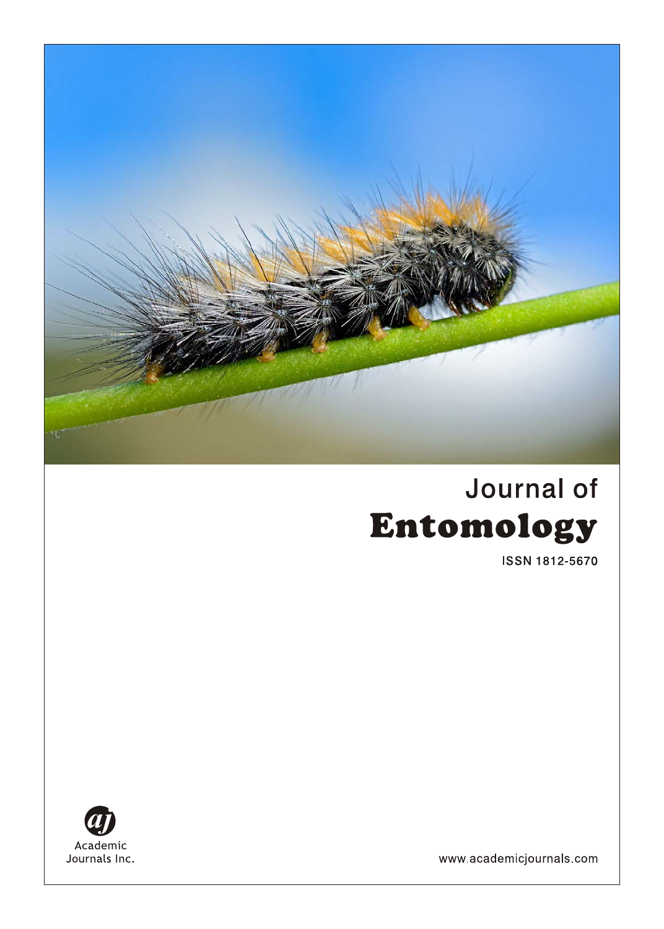

# Journal of Entomology

**ISSN 1812-5670** 



www.academicjournals.com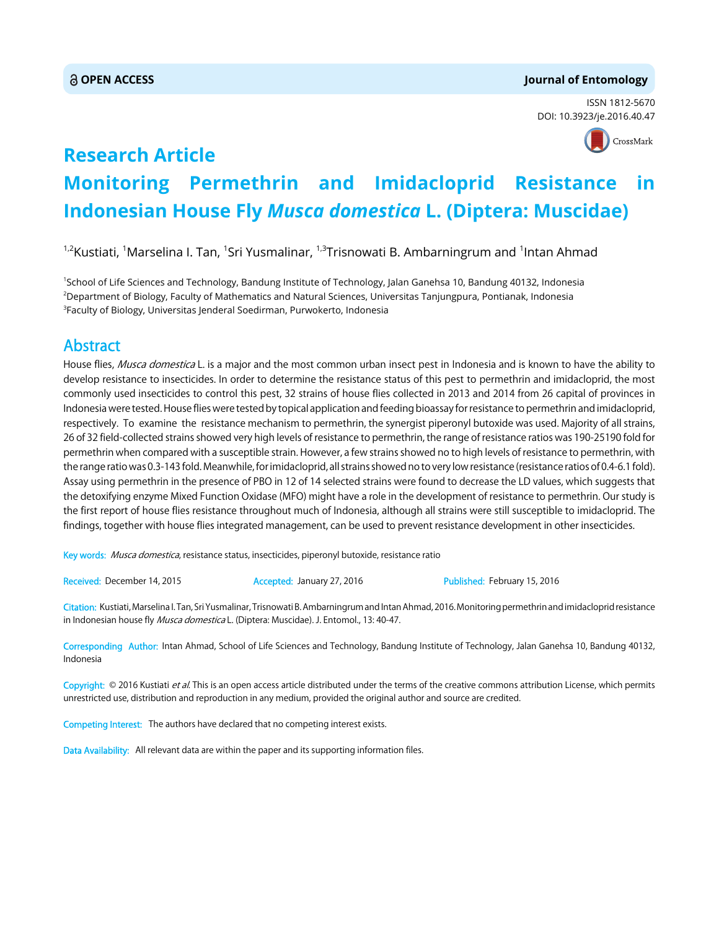#### **OPEN ACCESS Journal of Entomology**

ISSN 1812-5670 DOI: 10.3923/je.2016.40.47



## **Research Article Monitoring Permethrin and Imidacloprid Resistance in Indonesian House Fly** *Musca domestica* **L. (Diptera: Muscidae)**

<sup>1,2</sup>Kustiati, <sup>1</sup>Marselina I. Tan, <sup>1</sup>Sri Yusmalinar, <sup>1,3</sup>Trisnowati B. Ambarningrum and <sup>1</sup>Intan Ahmad

1 School of Life Sciences and Technology, Bandung Institute of Technology, Jalan Ganehsa 10, Bandung 40132, Indonesia 2 Department of Biology, Faculty of Mathematics and Natural Sciences, Universitas Tanjungpura, Pontianak, Indonesia  $^3$ Faculty of Biology, Universitas Jenderal Soedirman, Purwokerto, Indonesia

### Abstract

House flies, Musca domestica L. is a major and the most common urban insect pest in Indonesia and is known to have the ability to develop resistance to insecticides. In order to determine the resistance status of this pest to permethrin and imidacloprid, the most commonly used insecticides to control this pest, 32 strains of house flies collected in 2013 and 2014 from 26 capital of provinces in Indonesia were tested. House flies were tested by topical application and feeding bioassay for resistance to permethrin and imidacloprid, respectively. To examine the resistance mechanism to permethrin, the synergist piperonyl butoxide was used. Majority of all strains, 26 of 32 field-collected strains showed very high levels of resistance to permethrin, the range of resistance ratios was 190-25190 fold for permethrin when compared with a susceptible strain. However, a few strains showed no to high levels of resistance to permethrin, with the range ratio was 0.3-143 fold. Meanwhile, for imidacloprid, all strains showed no to very low resistance (resistance ratios of 0.4-6.1 fold). Assay using permethrin in the presence of PBO in 12 of 14 selected strains were found to decrease the LD values, which suggests that the detoxifying enzyme Mixed Function Oxidase (MFO) might have a role in the development of resistance to permethrin. Our study is the first report of house flies resistance throughout much of Indonesia, although all strains were still susceptible to imidacloprid. The findings, together with house flies integrated management, can be used to prevent resistance development in other insecticides.

Key words: Musca domestica, resistance status, insecticides, piperonyl butoxide, resistance ratio

Received: December 14, 2015 Accepted: January 27, 2016 Published: February 15, 2016

Citation: Kustiati, Marselina I. Tan, Sri Yusmalinar, Trisnowati B. Ambarningrum and Intan Ahmad, 2016. Monitoring permethrin and imidacloprid resistance in Indonesian house fly Musca domestica L. (Diptera: Muscidae). J. Entomol., 13: 40-47.

Corresponding Author: Intan Ahmad, School of Life Sciences and Technology, Bandung Institute of Technology, Jalan Ganehsa 10, Bandung 40132, Indonesia

Copyright: © 2016 Kustiati et al. This is an open access article distributed under the terms of the creative commons attribution License, which permits unrestricted use, distribution and reproduction in any medium, provided the original author and source are credited.

Competing Interest: The authors have declared that no competing interest exists.

Data Availability: All relevant data are within the paper and its supporting information files.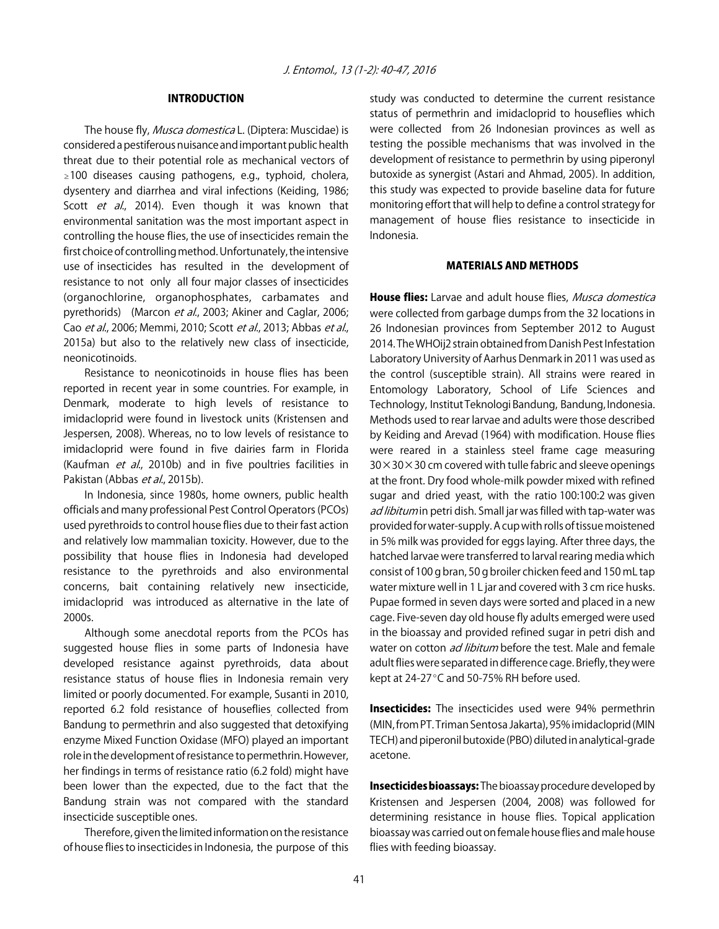#### INTRODUCTION

The house fly, Musca domestica L. (Diptera: Muscidae) is considered a pestiferous nuisance and important public health threat due to their potential role as mechanical vectors of  $\geq$ 100 diseases causing pathogens, e.g., typhoid, cholera, dysentery and diarrhea and viral infections (Keiding, 1986; Scott et al., 2014). Even though it was known that environmental sanitation was the most important aspect in controlling the house flies, the use of insecticides remain the first choice of controlling method. Unfortunately, the intensive use of insecticides has resulted in the development of resistance to not only all four major classes of insecticides (organochlorine, organophosphates, carbamates and pyrethorids) (Marcon et al., 2003; Akiner and Caglar, 2006; Cao et al., 2006; Memmi, 2010; Scott et al., 2013; Abbas et al., 2015a) but also to the relatively new class of insecticide, neonicotinoids.

Resistance to neonicotinoids in house flies has been reported in recent year in some countries. For example, in Denmark, moderate to high levels of resistance to imidacloprid were found in livestock units (Kristensen and Jespersen, 2008). Whereas, no to low levels of resistance to imidacloprid were found in five dairies farm in Florida (Kaufman et al., 2010b) and in five poultries facilities in Pakistan (Abbas et al., 2015b).

In Indonesia, since 1980s, home owners, public health officials and many professional Pest Control Operators (PCOs) used pyrethroids to control house flies due to their fast action and relatively low mammalian toxicity. However, due to the possibility that house flies in Indonesia had developed resistance to the pyrethroids and also environmental concerns, bait containing relatively new insecticide, imidacloprid was introduced as alternative in the late of 2000s.

Although some anecdotal reports from the PCOs has suggested house flies in some parts of Indonesia have developed resistance against pyrethroids, data about resistance status of house flies in Indonesia remain very limited or poorly documented. For example, Susanti in 2010, reported 6.2 fold resistance of houseflies collected from Bandung to permethrin and also suggested that detoxifying enzyme Mixed Function Oxidase (MFO) played an important role in the development of resistance to permethrin. However, her findings in terms of resistance ratio (6.2 fold) might have been lower than the expected, due to the fact that the Bandung strain was not compared with the standard insecticide susceptible ones.

Therefore, given the limited information on the resistance of house flies to insecticides in Indonesia, the purpose of this study was conducted to determine the current resistance status of permethrin and imidacloprid to houseflies which were collected from 26 Indonesian provinces as well as testing the possible mechanisms that was involved in the development of resistance to permethrin by using piperonyl butoxide as synergist (Astari and Ahmad, 2005). In addition, this study was expected to provide baseline data for future monitoring effort that will help to define a control strategy for management of house flies resistance to insecticide in Indonesia.

#### MATERIALS AND METHODS

House flies: Larvae and adult house flies, Musca domestica were collected from garbage dumps from the 32 locations in 26 Indonesian provinces from September 2012 to August 2014. The WHOij2 strain obtained from Danish Pest Infestation Laboratory University of Aarhus Denmark in 2011 was used as the control (susceptible strain). All strains were reared in Entomology Laboratory, School of Life Sciences and Technology, Institut Teknologi Bandung, Bandung, Indonesia. Methods used to rear larvae and adults were those described by Keiding and Arevad (1964) with modification. House flies were reared in a stainless steel frame cage measuring  $30 \times 30 \times 30$  cm covered with tulle fabric and sleeve openings at the front. Dry food whole-milk powder mixed with refined sugar and dried yeast, with the ratio 100:100:2 was given ad libitum in petri dish. Small jar was filled with tap-water was provided for water-supply. A cup with rolls of tissue moistened in 5% milk was provided for eggs laying. After three days, the hatched larvae were transferred to larval rearing media which consist of 100 g bran, 50 g broiler chicken feed and 150 mL tap water mixture well in 1 L jar and covered with 3 cm rice husks. Pupae formed in seven days were sorted and placed in a new cage. Five-seven day old house fly adults emerged were used in the bioassay and provided refined sugar in petri dish and water on cotton *ad libitum* before the test. Male and female adult flies were separated in difference cage. Briefly, they were kept at 24-27°C and 50-75% RH before used.

**Insecticides:** The insecticides used were 94% permethrin (MIN, from PT. Triman Sentosa Jakarta), 95% imidacloprid (MIN TECH) and piperonil butoxide (PBO) diluted in analytical-grade acetone.

**Insecticides bioassays:** The bioassay procedure developed by Kristensen and Jespersen (2004, 2008) was followed for determining resistance in house flies. Topical application bioassay was carried out on female house flies and male house flies with feeding bioassay.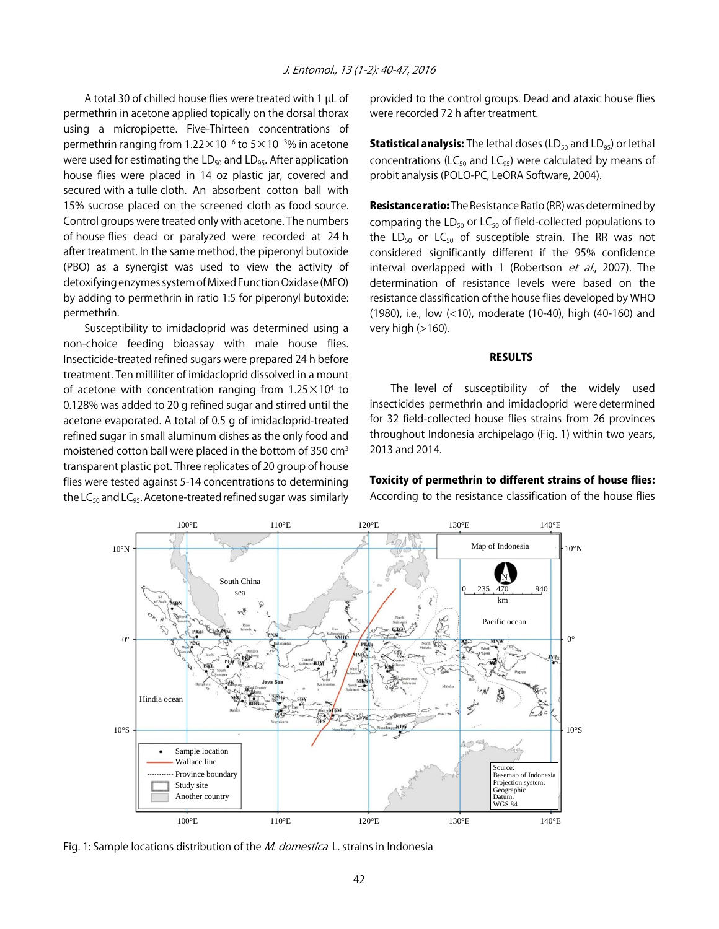A total 30 of chilled house flies were treated with 1 µL of permethrin in acetone applied topically on the dorsal thorax using a micropipette. Five-Thirteen concentrations of permethrin ranging from 1.22 $\times$ 10 $^{-6}$  to 5 $\times$ 10 $^{-3}$ % in acetone were used for estimating the  $LD_{50}$  and  $LD_{95}$ . After application house flies were placed in 14 oz plastic jar, covered and secured with a tulle cloth. An absorbent cotton ball with 15% sucrose placed on the screened cloth as food source. Control groups were treated only with acetone. The numbers of house flies dead or paralyzed were recorded at 24 h after treatment. In the same method, the piperonyl butoxide (PBO) as a synergist was used to view the activity of detoxifying enzymes system of Mixed Function Oxidase (MFO) by adding to permethrin in ratio 1:5 for piperonyl butoxide: permethrin.

Susceptibility to imidacloprid was determined using a non-choice feeding bioassay with male house flies. Insecticide-treated refined sugars were prepared 24 h before treatment. Ten milliliter of imidacloprid dissolved in a mount of acetone with concentration ranging from  $1.25 \times 10^4$  to 0.128% was added to 20 g refined sugar and stirred until the acetone evaporated. A total of 0.5 g of imidacloprid-treated refined sugar in small aluminum dishes as the only food and moistened cotton ball were placed in the bottom of 350 cm3 transparent plastic pot. Three replicates of 20 group of house flies were tested against 5-14 concentrations to determining the  $LC_{50}$  and  $LC_{95}$ . Acetone-treated refined sugar was similarly

provided to the control groups. Dead and ataxic house flies were recorded 72 h after treatment.

**Statistical analysis:** The lethal doses (LD<sub>50</sub> and LD<sub>95</sub>) or lethal concentrations (LC $_{50}$  and LC $_{95}$ ) were calculated by means of probit analysis (POLO-PC, LeORA Software, 2004).

**Resistance ratio:** The Resistance Ratio (RR) was determined by comparing the  $LD_{50}$  or  $LC_{50}$  of field-collected populations to the LD<sub>50</sub> or LC<sub>50</sub> of susceptible strain. The RR was not considered significantly different if the 95% confidence interval overlapped with 1 (Robertson et al., 2007). The determination of resistance levels were based on the resistance classification of the house flies developed by WHO (1980), i.e., low (<10), moderate (10-40), high (40-160) and very high  $(>160)$ .

#### RESULTS

The level of susceptibility of the widely used insecticides permethrin and imidacloprid were determined for 32 field-collected house flies strains from 26 provinces throughout Indonesia archipelago (Fig. 1) within two years, 2013 and 2014.



Fig. 1: Sample locations distribution of the *M. domestica* L. strains in Indonesia

Toxicity of permethrin to different strains of house flies: According to the resistance classification of the house flies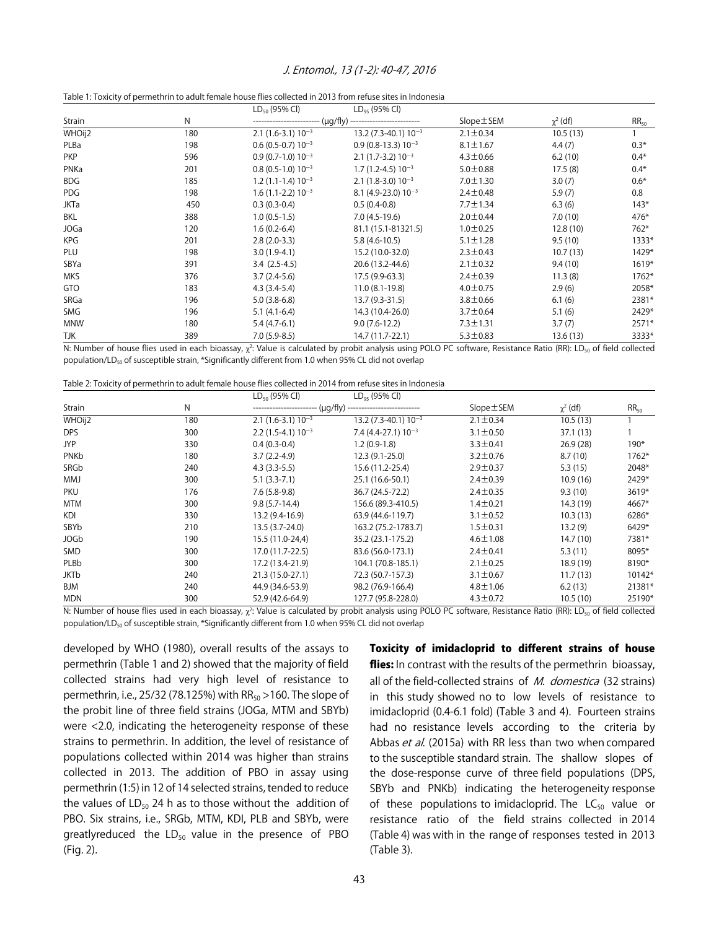#### J. Entomol., 13 (1-2): 40-47, 2016

| Table 1: Toxicity of permethrin to adult female house flies collected in 2013 from refuse sites in Indonesia |  |
|--------------------------------------------------------------------------------------------------------------|--|
|--------------------------------------------------------------------------------------------------------------|--|

|             |     | $LD_{50}$ (95% CI)     | $LD_{95}$ (95% CI)                                           |                |               |           |
|-------------|-----|------------------------|--------------------------------------------------------------|----------------|---------------|-----------|
| Strain      | N   |                        | ------------------------- (µg/fly) ------------------------- |                | $\chi^2$ (df) | $RR_{50}$ |
| WHOij2      | 180 | $2.1(1.6-3.1)10^{-3}$  | $13.2(7.3-40.1)10^{-3}$                                      | $2.1 \pm 0.34$ | 10.5(13)      |           |
| PLBa        | 198 | $0.6(0.5-0.7) 10^{-3}$ | $0.9(0.8-13.3)10^{-3}$                                       | $8.1 \pm 1.67$ | 4.4(7)        | $0.3*$    |
| <b>PKP</b>  | 596 | $0.9(0.7-1.0)10^{-3}$  | $2.1(1.7-3.2)10^{-3}$                                        | $4.3 \pm 0.66$ | 6.2(10)       | $0.4*$    |
| PNKa        | 201 | $0.8(0.5-1.0) 10^{-3}$ | $1.7(1.2 - 4.5)10^{-3}$                                      | $5.0 \pm 0.88$ | 17.5(8)       | $0.4*$    |
| <b>BDG</b>  | 185 | $1.2(1.1-1.4)10^{-3}$  | $2.1(1.8-3.0)10^{-3}$                                        | $7.0 \pm 1.30$ | 3.0(7)        | $0.6*$    |
| PDG         | 198 | $1.6(1.1-2.2)10^{-3}$  | $8.1$ (4.9-23.0) $10^{-3}$                                   | $2.4 \pm 0.48$ | 5.9(7)        | 0.8       |
| <b>JKTa</b> | 450 | $0.3(0.3-0.4)$         | $0.5(0.4-0.8)$                                               | $7.7 \pm 1.34$ | 6.3(6)        | $143*$    |
| BKL         | 388 | $1.0(0.5-1.5)$         | $7.0(4.5-19.6)$                                              | $2.0 \pm 0.44$ | 7.0(10)       | $476*$    |
| <b>JOGa</b> | 120 | $1.6(0.2-6.4)$         | 81.1 (15.1-81321.5)                                          | $1.0 \pm 0.25$ | 12.8(10)      | $762*$    |
| <b>KPG</b>  | 201 | $2.8(2.0-3.3)$         | $5.8(4.6-10.5)$                                              | $5.1 \pm 1.28$ | 9.5(10)       | 1333*     |
| <b>PLU</b>  | 198 | $3.0(1.9-4.1)$         | 15.2 (10.0-32.0)                                             | $2.3 \pm 0.43$ | 10.7(13)      | $1429*$   |
| SBYa        | 391 | $3.4(2.5-4.5)$         | 20.6 (13.2-44.6)                                             | $2.1 \pm 0.32$ | 9.4(10)       | $1619*$   |
| <b>MKS</b>  | 376 | $3.7(2.4-5.6)$         | 17.5 (9.9-63.3)                                              | $2.4 \pm 0.39$ | 11.3(8)       | $1762*$   |
| <b>GTO</b>  | 183 | $4.3(3.4-5.4)$         | $11.0(8.1-19.8)$                                             | $4.0 \pm 0.75$ | 2.9(6)        | 2058*     |
| SRGa        | 196 | $5.0(3.8-6.8)$         | $13.7(9.3-31.5)$                                             | $3.8 \pm 0.66$ | 6.1(6)        | 2381*     |
| SMG         | 196 | $5.1(4.1-6.4)$         | 14.3 (10.4-26.0)                                             | $3.7 \pm 0.64$ | 5.1(6)        | 2429*     |
| <b>MNW</b>  | 180 | $5.4(4.7-6.1)$         | $9.0(7.6-12.2)$                                              | $7.3 \pm 1.31$ | 3.7(7)        | 2571*     |
| TJK         | 389 | $7.0(5.9-8.5)$         | 14.7 (11.7-22.1)                                             | $5.3 \pm 0.83$ | 13.6(13)      | 3333*     |

N: Number of house flies used in each bioassay,  $\chi^2$ : Value is calculated by probit analysis using POLO PC software, Resistance Ratio (RR): LD<sub>50</sub> of field collected population/LD<sub>50</sub> of susceptible strain, \*Significantly different from 1.0 when 95% CL did not overlap

| Table 2: Toxicity of permethrin to adult female house flies collected in 2014 from refuse sites in Indonesia |  |
|--------------------------------------------------------------------------------------------------------------|--|
|--------------------------------------------------------------------------------------------------------------|--|

|             |     | $LD_{50}$ (95% CI)    | $LD_{95}$ (95% CI)                  |                |               |           |
|-------------|-----|-----------------------|-------------------------------------|----------------|---------------|-----------|
| Strain      | N   |                       | (µg/fly) -------------------------- |                | $\chi^2$ (df) | $RR_{50}$ |
| WHOij2      | 180 | $2.1(1.6-3.1)10^{-3}$ | $13.2(7.3-40.1)10^{-3}$             | $2.1 \pm 0.34$ | 10.5(13)      |           |
| DPS         | 300 | $2.2(1.5-4.1)10^{-3}$ | $7.4(4.4-27.1)10^{-3}$              | $3.1 \pm 0.50$ | 37.1 (13)     |           |
| <b>JYP</b>  | 330 | $0.4(0.3-0.4)$        | $1.2(0.9-1.8)$                      | $3.3 \pm 0.41$ | 26.9(28)      | $190*$    |
| PNKb        | 180 | $3.7(2.2-4.9)$        | $12.3(9.1-25.0)$                    | $3.2 \pm 0.76$ | 8.7(10)       | $1762*$   |
| SRGb        | 240 | $4.3(3.3-5.5)$        | 15.6 (11.2-25.4)                    | $2.9 \pm 0.37$ | 5.3(15)       | 2048*     |
| <b>MMJ</b>  | 300 | $5.1(3.3-7.1)$        | 25.1 (16.6-50.1)                    | $2.4 \pm 0.39$ | 10.9(16)      | 2429*     |
| <b>PKU</b>  | 176 | $7.6(5.8-9.8)$        | 36.7 (24.5-72.2)                    | $2.4 \pm 0.35$ | 9.3(10)       | $3619*$   |
| <b>MTM</b>  | 300 | $9.8(5.7-14.4)$       | 156.6 (89.3-410.5)                  | $1.4 \pm 0.21$ | 14.3 (19)     | 4667*     |
| <b>KDI</b>  | 330 | 13.2 (9.4-16.9)       | 63.9 (44.6-119.7)                   | $3.1 \pm 0.52$ | 10.3(13)      | 6286*     |
| SBYb        | 210 | 13.5 (3.7-24.0)       | 163.2 (75.2-1783.7)                 | $1.5 \pm 0.31$ | 13.2(9)       | $6429*$   |
| <b>JOGb</b> | 190 | 15.5 (11.0-24,4)      | 35.2 (23.1-175.2)                   | $4.6 \pm 1.08$ | 14.7 (10)     | 7381*     |
| <b>SMD</b>  | 300 | 17.0 (11.7-22.5)      | 83.6 (56.0-173.1)                   | $2.4 \pm 0.41$ | 5.3(11)       | 8095*     |
| PLBb        | 300 | 17.2 (13.4-21.9)      | 104.1 (70.8-185.1)                  | $2.1 \pm 0.25$ | 18.9 (19)     | 8190*     |
| <b>JKTb</b> | 240 | 21.3 (15.0-27.1)      | 72.3 (50.7-157.3)                   | $3.1 \pm 0.67$ | 11.7(13)      | $10142*$  |
| <b>BJM</b>  | 240 | 44.9 (34.6-53.9)      | 98.2 (76.9-166.4)                   | $4.8 \pm 1.06$ | 6.2(13)       | 21381*    |
| <b>MDN</b>  | 300 | 52.9 (42.6-64.9)      | 127.7 (95.8-228.0)                  | $4.3 \pm 0.72$ | 10.5(10)      | 25190*    |

N: Number of house flies used in each bioassay,  $\chi^2$ : Value is calculated by probit analysis using POLO PC software, Resistance Ratio (RR): LD<sub>50</sub> of field collected population/LD<sub>50</sub> of susceptible strain, \*Significantly different from 1.0 when 95% CL did not overlap

developed by WHO (1980), overall results of the assays to permethrin (Table 1 and 2) showed that the majority of field collected strains had very high level of resistance to permethrin, i.e., 25/32 (78.125%) with  $RR_{50} > 160$ . The slope of the probit line of three field strains (JOGa, MTM and SBYb) were <2.0, indicating the heterogeneity response of these strains to permethrin. In addition, the level of resistance of populations collected within 2014 was higher than strains collected in 2013. The addition of PBO in assay using permethrin (1:5) in 12 of 14 selected strains, tended to reduce the values of  $LD_{50}$  24 h as to those without the addition of PBO. Six strains, i.e., SRGb, MTM, KDI, PLB and SBYb, were greatlyreduced the  $LD_{50}$  value in the presence of PBO (Fig. 2).

Toxicity of imidacloprid to different strains of house flies: In contrast with the results of the permethrin bioassay, all of the field-collected strains of *M. domestica* (32 strains) in this study showed no to low levels of resistance to imidacloprid (0.4-6.1 fold) (Table 3 and 4). Fourteen strains had no resistance levels according to the criteria by Abbas et al. (2015a) with RR less than two when compared to the susceptible standard strain. The shallow slopes of the dose-response curve of three field populations (DPS, SBYb and PNKb) indicating the heterogeneity response of these populations to imidacloprid. The  $LC_{50}$  value or resistance ratio of the field strains collected in 2014 (Table 4) was with in the range of responses tested in 2013 (Table 3).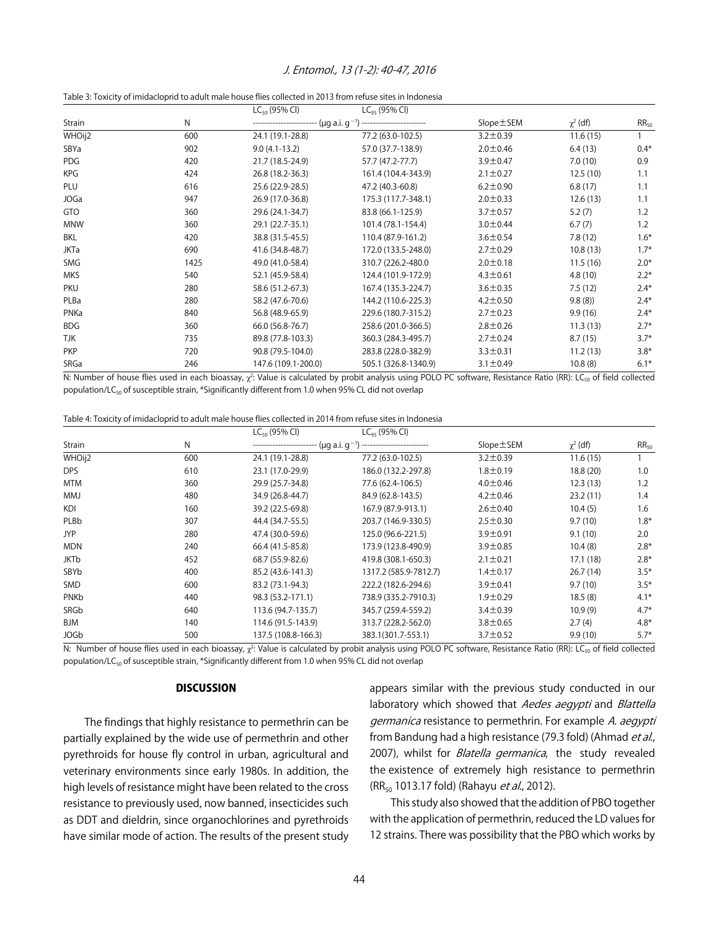#### J. Entomol., 13 (1-2): 40-47, 2016

|--|

|             |      | $LC_{50}$ (95% CI)  | $LC_{95}$ (95% CI)                                                          |                |               |           |
|-------------|------|---------------------|-----------------------------------------------------------------------------|----------------|---------------|-----------|
| Strain      | N    |                     | ------------------------ (µg a.i. g <sup>-1</sup> ) ----------------------- |                | $\chi^2$ (df) | $RR_{50}$ |
| WHOij2      | 600  | 24.1 (19.1-28.8)    | 77.2 (63.0-102.5)                                                           | $3.2 \pm 0.39$ | 11.6(15)      |           |
| SBYa        | 902  | $9.0(4.1-13.2)$     | 57.0 (37.7-138.9)                                                           | $2.0 \pm 0.46$ | 6.4(13)       | $0.4*$    |
| <b>PDG</b>  | 420  | 21.7 (18.5-24.9)    | 57.7 (47.2-77.7)                                                            | $3.9 \pm 0.47$ | 7.0(10)       | 0.9       |
| <b>KPG</b>  | 424  | 26.8 (18.2-36.3)    | 161.4 (104.4-343.9)                                                         | $2.1 \pm 0.27$ | 12.5(10)      | 1.1       |
| PLU         | 616  | 25.6 (22.9-28.5)    | 47.2 (40.3-60.8)                                                            | $6.2 \pm 0.90$ | 6.8(17)       | 1.1       |
| <b>JOGa</b> | 947  | 26.9 (17.0-36.8)    | 175.3 (117.7-348.1)                                                         | $2.0 \pm 0.33$ | 12.6(13)      | 1.1       |
| GTO         | 360  | 29.6 (24.1-34.7)    | 83.8 (66.1-125.9)                                                           | $3.7 \pm 0.57$ | 5.2(7)        | 1.2       |
| <b>MNW</b>  | 360  | 29.1 (22.7-35.1)    | 101.4 (78.1-154.4)                                                          | $3.0 \pm 0.44$ | 6.7(7)        | 1.2       |
| BKL         | 420  | 38.8 (31.5-45.5)    | 110.4 (87.9-161.2)                                                          | $3.6 \pm 0.54$ | 7.8(12)       | $1.6*$    |
| JKTa        | 690  | 41.6 (34.8-48.7)    | 172.0 (133.5-248.0)                                                         | $2.7 \pm 0.29$ | 10.8(13)      | $1.7*$    |
| SMG         | 1425 | 49.0 (41.0-58.4)    | 310.7 (226.2-480.0                                                          | $2.0 \pm 0.18$ | 11.5(16)      | $2.0*$    |
| <b>MKS</b>  | 540  | 52.1 (45.9-58.4)    | 124.4 (101.9-172.9)                                                         | $4.3 \pm 0.61$ | 4.8(10)       | $2.2*$    |
| <b>PKU</b>  | 280  | 58.6 (51.2-67.3)    | 167.4 (135.3-224.7)                                                         | $3.6 \pm 0.35$ | 7.5(12)       | $2.4*$    |
| PLBa        | 280  | 58.2 (47.6-70.6)    | 144.2 (110.6-225.3)                                                         | $4.2 \pm 0.50$ | 9.8(8)        | $2.4*$    |
| PNKa        | 840  | 56.8 (48.9-65.9)    | 229.6 (180.7-315.2)                                                         | $2.7 \pm 0.23$ | 9.9(16)       | $2.4*$    |
| <b>BDG</b>  | 360  | 66.0 (56.8-76.7)    | 258.6 (201.0-366.5)                                                         | $2.8 \pm 0.26$ | 11.3(13)      | $2.7*$    |
| <b>TJK</b>  | 735  | 89.8 (77.8-103.3)   | 360.3 (284.3-495.7)                                                         | $2.7 \pm 0.24$ | 8.7(15)       | $3.7*$    |
| <b>PKP</b>  | 720  | 90.8 (79.5-104.0)   | 283.8 (228.0-382.9)                                                         | $3.3 \pm 0.31$ | 11.2(13)      | $3.8*$    |
| SRGa        | 246  | 147.6 (109.1-200.0) | 505.1 (326.8-1340.9)                                                        | $3.1 \pm 0.49$ | 10.8(8)       | $6.1*$    |

N: Number of house flies used in each bioassay,  $\chi^2$ : Value is calculated by probit analysis using POLO PC software, Resistance Ratio (RR): LC<sub>50</sub> of field collected population/LC<sub>50</sub> of susceptible strain, \*Significantly different from 1.0 when 95% CL did not overlap

|  |  |  | Table 4: Toxicity of imidacloprid to adult male house flies collected in 2014 from refuse sites in Indonesia |
|--|--|--|--------------------------------------------------------------------------------------------------------------|
|  |  |  |                                                                                                              |

|             |     | $LC_{50}$ (95% CI)  | $LC_{qs}$ (95% CI)    |                 |               |           |
|-------------|-----|---------------------|-----------------------|-----------------|---------------|-----------|
| Strain      | N   |                     |                       | $Slope \pm SEM$ | $\chi^2$ (df) | $RR_{50}$ |
| WHOij2      | 600 | 24.1 (19.1-28.8)    | 77.2 (63.0-102.5)     | $3.2 \pm 0.39$  | 11.6(15)      |           |
| DPS         | 610 | 23.1 (17.0-29.9)    | 186.0 (132.2-297.8)   | $1.8 \pm 0.19$  | 18.8 (20)     | 1.0       |
| <b>MTM</b>  | 360 | 29.9 (25.7-34.8)    | 77.6 (62.4-106.5)     | $4.0 \pm 0.46$  | 12.3(13)      | 1.2       |
| <b>MMJ</b>  | 480 | 34.9 (26.8-44.7)    | 84.9 (62.8-143.5)     | $4.2 \pm 0.46$  | 23.2(11)      | 1.4       |
| <b>KDI</b>  | 160 | 39.2 (22.5-69.8)    | 167.9 (87.9-913.1)    | $2.6 \pm 0.40$  | 10.4(5)       | 1.6       |
| PLBb        | 307 | 44.4 (34.7-55.5)    | 203.7 (146.9-330.5)   | $2.5 \pm 0.30$  | 9.7(10)       | $1.8*$    |
| <b>JYP</b>  | 280 | 47.4 (30.0-59.6)    | 125.0 (96.6-221.5)    | $3.9 \pm 0.91$  | 9.1(10)       | 2.0       |
| <b>MDN</b>  | 240 | 66.4 (41.5-85.8)    | 173.9 (123.8-490.9)   | $3.9 \pm 0.85$  | 10.4(8)       | $2.8*$    |
| JKTb        | 452 | 68.7 (55.9-82.6)    | 419.8 (308.1-650.3)   | $2.1 \pm 0.21$  | 17.1(18)      | $2.8*$    |
| SBYb        | 400 | 85.2 (43.6-141.3)   | 1317.2 (585.9-7812.7) | $1.4 \pm 0.17$  | 26.7(14)      | $3.5*$    |
| SMD         | 600 | 83.2 (73.1-94.3)    | 222.2 (182.6-294.6)   | $3.9 \pm 0.41$  | 9.7(10)       | $3.5*$    |
| PNKb        | 440 | 98.3 (53.2-171.1)   | 738.9 (335.2-7910.3)  | $1.9 \pm 0.29$  | 18.5(8)       | $4.1*$    |
| SRGb        | 640 | 113.6 (94.7-135.7)  | 345.7 (259.4-559.2)   | $3.4 \pm 0.39$  | 10.9(9)       | $4.7*$    |
| <b>BJM</b>  | 140 | 114.6 (91.5-143.9)  | 313.7 (228.2-562.0)   | $3.8 \pm 0.65$  | 2.7(4)        | $4.8*$    |
| <b>JOGb</b> | 500 | 137.5 (108.8-166.3) | 383.1(301.7-553.1)    | $3.7 \pm 0.52$  | 9.9(10)       | $5.7*$    |

N: Number of house flies used in each bioassay, χ<sup>2</sup>: Value is calculated by probit analysis using POLO PC software, Resistance Ratio (RR): LC<sub>50</sub> of field collected population/LC<sub>50</sub> of susceptible strain, \*Significantly different from 1.0 when 95% CL did not overlap

#### **DISCUSSION**

The findings that highly resistance to permethrin can be partially explained by the wide use of permethrin and other pyrethroids for house fly control in urban, agricultural and veterinary environments since early 1980s. In addition, the high levels of resistance might have been related to the cross resistance to previously used, now banned, insecticides such as DDT and dieldrin, since organochlorines and pyrethroids have similar mode of action. The results of the present study appears similar with the previous study conducted in our laboratory which showed that Aedes aegypti and Blattella germanica resistance to permethrin. For example A. aegypti from Bandung had a high resistance (79.3 fold) (Ahmad et al., 2007), whilst for Blatella germanica, the study revealed the existence of extremely high resistance to permethrin (RR<sub>50</sub> 1013.17 fold) (Rahayu et al., 2012).

This study also showed that the addition of PBO together with the application of permethrin, reduced the LD values for 12 strains. There was possibility that the PBO which works by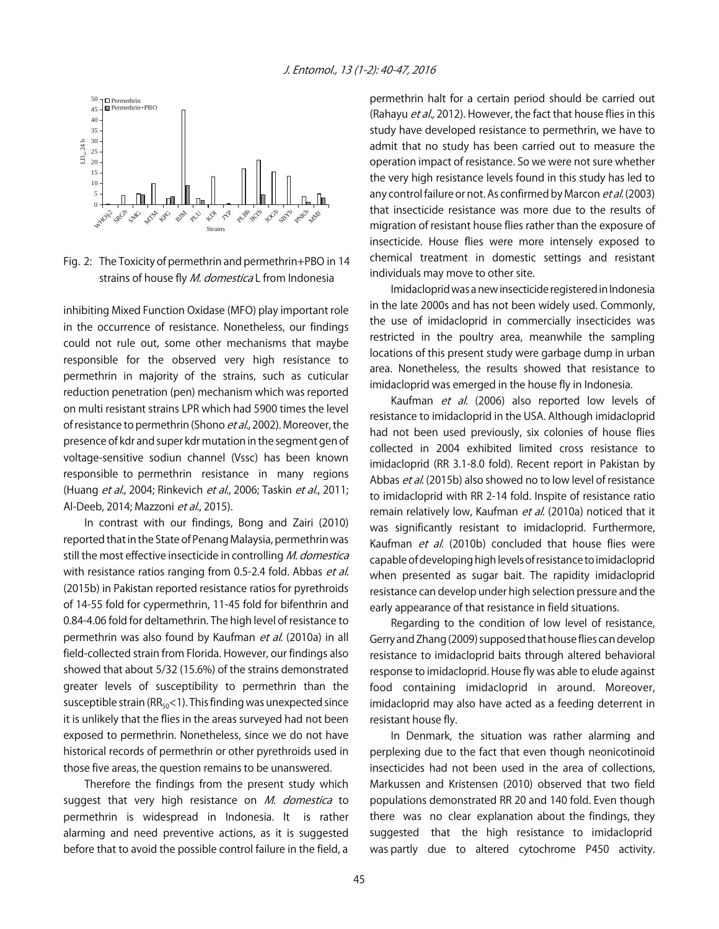

Fig. 2: The Toxicity of permethrin and permethrin+PBO in 14 strains of house fly *M. domestica* L from Indonesia

inhibiting Mixed Function Oxidase (MFO) play important role in the occurrence of resistance. Nonetheless, our findings could not rule out, some other mechanisms that maybe responsible for the observed very high resistance to permethrin in majority of the strains, such as cuticular reduction penetration (pen) mechanism which was reported on multi resistant strains LPR which had 5900 times the level of resistance to permethrin (Shono et al., 2002). Moreover, the presence of kdr and super kdr mutation in the segment gen of voltage-sensitive sodiun channel (Vssc) has been known responsible to permethrin resistance in many regions (Huang et al., 2004; Rinkevich et al., 2006; Taskin et al., 2011; Al-Deeb, 2014; Mazzoni et al., 2015).

In contrast with our findings, Bong and Zairi (2010) reported that in the State of Penang Malaysia, permethrin was still the most effective insecticide in controlling M. domestica with resistance ratios ranging from 0.5-2.4 fold. Abbas et al. (2015b) in Pakistan reported resistance ratios for pyrethroids of 14-55 fold for cypermethrin, 11-45 fold for bifenthrin and 0.84-4.06 fold for deltamethrin. The high level of resistance to permethrin was also found by Kaufman et al. (2010a) in all field-collected strain from Florida. However, our findings also showed that about 5/32 (15.6%) of the strains demonstrated greater levels of susceptibility to permethrin than the susceptible strain ( $RR_{50}$ <1). This finding was unexpected since it is unlikely that the flies in the areas surveyed had not been exposed to permethrin. Nonetheless, since we do not have historical records of permethrin or other pyrethroids used in those five areas, the question remains to be unanswered.

Therefore the findings from the present study which suggest that very high resistance on M. domestica to permethrin is widespread in Indonesia. It is rather alarming and need preventive actions, as it is suggested before that to avoid the possible control failure in the field, a permethrin halt for a certain period should be carried out (Rahayu et al., 2012). However, the fact that house flies in this study have developed resistance to permethrin, we have to admit that no study has been carried out to measure the operation impact of resistance. So we were not sure whether the very high resistance levels found in this study has led to any control failure or not. As confirmed by Marcon et al. (2003) that insecticide resistance was more due to the results of migration of resistant house flies rather than the exposure of insecticide. House flies were more intensely exposed to chemical treatment in domestic settings and resistant individuals may move to other site.

Imidacloprid was a new insecticide registered in Indonesia in the late 2000s and has not been widely used. Commonly, the use of imidacloprid in commercially insecticides was restricted in the poultry area, meanwhile the sampling locations of this present study were garbage dump in urban area. Nonetheless, the results showed that resistance to imidacloprid was emerged in the house fly in Indonesia.

Kaufman et al. (2006) also reported low levels of resistance to imidacloprid in the USA. Although imidacloprid had not been used previously, six colonies of house flies collected in 2004 exhibited limited cross resistance to imidacloprid (RR 3.1-8.0 fold). Recent report in Pakistan by Abbas et al. (2015b) also showed no to low level of resistance to imidacloprid with RR 2-14 fold. Inspite of resistance ratio remain relatively low, Kaufman et al. (2010a) noticed that it was significantly resistant to imidacloprid. Furthermore, Kaufman et al. (2010b) concluded that house flies were capable of developing high levels of resistance to imidacloprid when presented as sugar bait. The rapidity imidacloprid resistance can develop under high selection pressure and the early appearance of that resistance in field situations.

Regarding to the condition of low level of resistance, Gerry and Zhang (2009) supposed that house flies can develop resistance to imidacloprid baits through altered behavioral response to imidacloprid. House fly was able to elude against food containing imidacloprid in around. Moreover, imidacloprid may also have acted as a feeding deterrent in resistant house fly.

In Denmark, the situation was rather alarming and perplexing due to the fact that even though neonicotinoid insecticides had not been used in the area of collections, Markussen and Kristensen (2010) observed that two field populations demonstrated RR 20 and 140 fold. Even though there was no clear explanation about the findings, they suggested that the high resistance to imidacloprid was partly due to altered cytochrome P450 activity.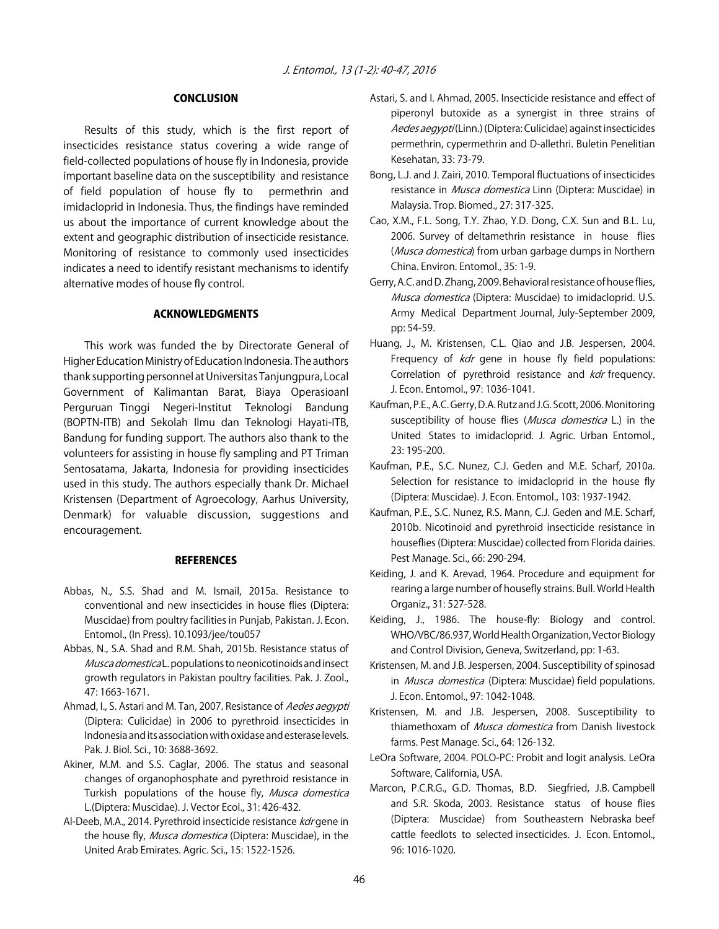#### CONCLUSION

Results of this study, which is the first report of insecticides resistance status covering a wide range of field-collected populations of house fly in Indonesia, provide important baseline data on the susceptibility and resistance of field population of house fly to permethrin and imidacloprid in Indonesia. Thus, the findings have reminded us about the importance of current knowledge about the extent and geographic distribution of insecticide resistance. Monitoring of resistance to commonly used insecticides indicates a need to identify resistant mechanisms to identify alternative modes of house fly control.

#### ACKNOWLEDGMENTS

This work was funded the by Directorate General of Higher Education Ministry of Education Indonesia. The authors thank supporting personnel at Universitas Tanjungpura, Local Government of Kalimantan Barat, Biaya Operasioanl Perguruan Tinggi Negeri-Institut Teknologi Bandung (BOPTN-ITB) and Sekolah Ilmu dan Teknologi Hayati-ITB, Bandung for funding support. The authors also thank to the volunteers for assisting in house fly sampling and PT Triman Sentosatama, Jakarta, Indonesia for providing insecticides used in this study. The authors especially thank Dr. Michael Kristensen (Department of Agroecology, Aarhus University, Denmark) for valuable discussion, suggestions and encouragement.

#### **REFERENCES**

- Abbas, N., S.S. Shad and M. Ismail, 2015a. Resistance to conventional and new insecticides in house flies (Diptera: Muscidae) from poultry facilities in Punjab, Pakistan. J. Econ. Entomol., (In Press). 10.1093/jee/tou057
- Abbas, N., S.A. Shad and R.M. Shah, 2015b. Resistance status of Musca domestica L. populations to neonicotinoids and insect growth regulators in Pakistan poultry facilities. Pak. J. Zool., 47: 1663-1671.
- Ahmad, I., S. Astari and M. Tan, 2007. Resistance of Aedes aegypti (Diptera: Culicidae) in 2006 to pyrethroid insecticides in Indonesia and its association with oxidase and esterase levels. Pak. J. Biol. Sci., 10: 3688-3692.
- Akiner, M.M. and S.S. Caglar, 2006. The status and seasonal changes of organophosphate and pyrethroid resistance in Turkish populations of the house fly, Musca domestica L.(Diptera: Muscidae). J. Vector Ecol., 31: 426-432.
- Al-Deeb, M.A., 2014. Pyrethroid insecticide resistance kdr gene in the house fly, *Musca domestica* (Diptera: Muscidae), in the United Arab Emirates. Agric. Sci., 15: 1522-1526.
- Astari, S. and I. Ahmad, 2005. Insecticide resistance and effect of piperonyl butoxide as a synergist in three strains of Aedes aegypti(Linn.) (Diptera: Culicidae) against insecticides permethrin, cypermethrin and D-allethri. Buletin Penelitian Kesehatan, 33: 73-79.
- Bong, L.J. and J. Zairi, 2010. Temporal fluctuations of insecticides resistance in Musca domestica Linn (Diptera: Muscidae) in Malaysia. Trop. Biomed., 27: 317-325.
- Cao, X.M., F.L. Song, T.Y. Zhao, Y.D. Dong, C.X. Sun and B.L. Lu, 2006. Survey of deltamethrin resistance in house flies (*Musca domestica*) from urban garbage dumps in Northern China. Environ. Entomol., 35: 1-9.
- Gerry, A.C. and D. Zhang, 2009. Behavioral resistance of house flies, Musca domestica (Diptera: Muscidae) to imidacloprid. U.S. Army Medical Department Journal, July-September 2009, pp: 54-59.
- Huang, J., M. Kristensen, C.L. Qiao and J.B. Jespersen, 2004. Frequency of *kdr* gene in house fly field populations: Correlation of pyrethroid resistance and kdr frequency. J. Econ. Entomol., 97: 1036-1041.
- Kaufman, P.E., A.C. Gerry, D.A. Rutz and J.G. Scott, 2006. Monitoring susceptibility of house flies (Musca domestica L.) in the United States to imidacloprid. J. Agric. Urban Entomol., 23: 195-200.
- Kaufman, P.E., S.C. Nunez, C.J. Geden and M.E. Scharf, 2010a. Selection for resistance to imidacloprid in the house fly (Diptera: Muscidae). J. Econ. Entomol., 103: 1937-1942.
- Kaufman, P.E., S.C. Nunez, R.S. Mann, C.J. Geden and M.E. Scharf, 2010b. Nicotinoid and pyrethroid insecticide resistance in houseflies (Diptera: Muscidae) collected from Florida dairies. Pest Manage. Sci., 66: 290-294.
- Keiding, J. and K. Arevad, 1964. Procedure and equipment for rearing a large number of housefly strains. Bull. World Health Organiz., 31: 527-528.
- Keiding, J., 1986. The house-fly: Biology and control. WHO/VBC/86.937, World Health Organization, Vector Biology and Control Division, Geneva, Switzerland, pp: 1-63.
- Kristensen, M. and J.B. Jespersen, 2004. Susceptibility of spinosad in *Musca domestica* (Diptera: Muscidae) field populations. J. Econ. Entomol., 97: 1042-1048.
- Kristensen, M. and J.B. Jespersen, 2008. Susceptibility to thiamethoxam of Musca domestica from Danish livestock farms. Pest Manage. Sci., 64: 126-132.
- LeOra Software, 2004. POLO-PC: Probit and logit analysis. LeOra Software, California, USA.
- Marcon, P.C.R.G., G.D. Thomas, B.D. Siegfried, J.B. Campbell and S.R. Skoda, 2003. Resistance status of house flies (Diptera: Muscidae) from Southeastern Nebraska beef cattle feedlots to selected insecticides. J. Econ. Entomol., 96: 1016-1020.